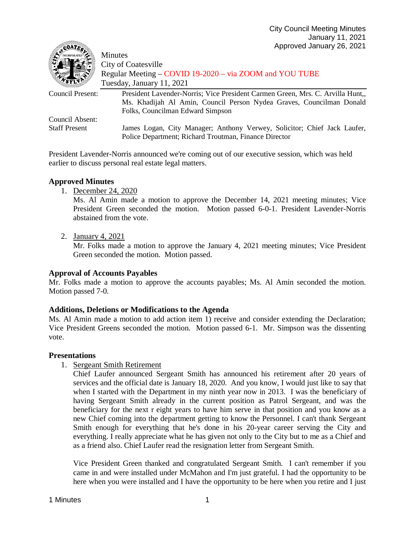| $\sim$               | $1.49$ $1.91$ $1.93$ $1.93$ $1.93$ $1.92$ $1.92$ $1.92$                                                                           |
|----------------------|-----------------------------------------------------------------------------------------------------------------------------------|
|                      | Minutes                                                                                                                           |
|                      | City of Coatesville                                                                                                               |
|                      | Regular Meeting – COVID 19-2020 – via ZOOM and YOU TUBE                                                                           |
|                      | Tuesday, January 11, 2021                                                                                                         |
| Council Present:     | President Lavender-Norris; Vice President Carmen Green, Mrs. C. Arvilla Hunt,,                                                    |
|                      | Ms. Khadijah Al Amin, Council Person Nydea Graves, Councilman Donald                                                              |
|                      | Folks, Councilman Edward Simpson                                                                                                  |
| Council Absent:      |                                                                                                                                   |
| <b>Staff Present</b> | James Logan, City Manager; Anthony Verwey, Solicitor; Chief Jack Laufer,<br>Police Department; Richard Troutman, Finance Director |
|                      |                                                                                                                                   |

President Lavender-Norris announced we're coming out of our executive session, which was held earlier to discuss personal real estate legal matters.

### **Approved Minutes**

**SOATE** 

1. December 24, 2020

Ms. Al Amin made a motion to approve the December 14, 2021 meeting minutes; Vice President Green seconded the motion. Motion passed 6-0-1. President Lavender-Norris abstained from the vote.

2. January 4, 2021

Mr. Folks made a motion to approve the January 4, 2021 meeting minutes; Vice President Green seconded the motion. Motion passed.

#### **Approval of Accounts Payables**

Mr. Folks made a motion to approve the accounts payables; Ms. Al Amin seconded the motion. Motion passed 7-0.

#### **Additions, Deletions or Modifications to the Agenda**

Ms. Al Amin made a motion to add action item 1) receive and consider extending the Declaration; Vice President Greens seconded the motion. Motion passed 6-1. Mr. Simpson was the dissenting vote.

#### **Presentations**

1. Sergeant Smith Retirement

Chief Laufer announced Sergeant Smith has announced his retirement after 20 years of services and the official date is January 18, 2020. And you know, I would just like to say that when I started with the Department in my ninth year now in 2013. I was the beneficiary of having Sergeant Smith already in the current position as Patrol Sergeant, and was the beneficiary for the next r eight years to have him serve in that position and you know as a new Chief coming into the department getting to know the Personnel. I can't thank Sergeant Smith enough for everything that he's done in his 20-year career serving the City and everything. I really appreciate what he has given not only to the City but to me as a Chief and as a friend also. Chief Laufer read the resignation letter from Sergeant Smith.

Vice President Green thanked and congratulated Sergeant Smith. I can't remember if you came in and were installed under McMahon and I'm just grateful. I had the opportunity to be here when you were installed and I have the opportunity to be here when you retire and I just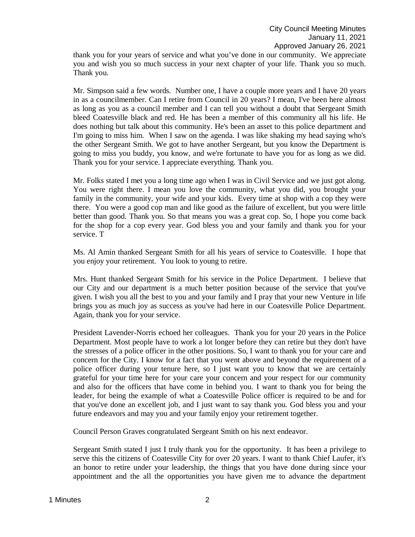thank you for your years of service and what you've done in our community. We appreciate you and wish you so much success in your next chapter of your life. Thank you so much. Thank you.

Mr. Simpson said a few words. Number one, I have a couple more years and I have 20 years in as a councilmember. Can I retire from Council in 20 years? I mean, I've been here almost as long as you as a council member and I can tell you without a doubt that Sergeant Smith bleed Coatesville black and red. He has been a member of this community all his life. He does nothing but talk about this community. He's been an asset to this police department and I'm going to miss him. When I saw on the agenda. I was like shaking my head saying who's the other Sergeant Smith. We got to have another Sergeant, but you know the Department is going to miss you buddy, you know, and we're fortunate to have you for as long as we did. Thank you for your service. I appreciate everything. Thank you.

Mr. Folks stated I met you a long time ago when I was in Civil Service and we just got along. You were right there. I mean you love the community, what you did, you brought your family in the community, your wife and your kids. Every time at shop with a cop they were there. You were a good cop man and like good as the failure of excellent, but you were little better than good. Thank you. So that means you was a great cop. So, I hope you come back for the shop for a cop every year. God bless you and your family and thank you for your service. T

Ms. Al Amin thanked Sergeant Smith for all his years of service to Coatesville. I hope that you enjoy your retirement. You look to young to retire.

Mrs. Hunt thanked Sergeant Smith for his service in the Police Department. I believe that our City and our department is a much better position because of the service that you've given. I wish you all the best to you and your family and I pray that your new Venture in life brings you as much joy as success as you've had here in our Coatesville Police Department. Again, thank you for your service.

President Lavender-Norris echoed her colleagues. Thank you for your 20 years in the Police Department. Most people have to work a lot longer before they can retire but they don't have the stresses of a police officer in the other positions. So, I want to thank you for your care and concern for the City. I know for a fact that you went above and beyond the requirement of a police officer during your tenure here, so I just want you to know that we are certainly grateful for your time here for your care your concern and your respect for our community and also for the officers that have come in behind you. I want to thank you for being the leader, for being the example of what a Coatesville Police officer is required to be and for that you've done an excellent job, and I just want to say thank you. God bless you and your future endeavors and may you and your family enjoy your retirement together.

Council Person Graves congratulated Sergeant Smith on his next endeavor.

Sergeant Smith stated I just I truly thank you for the opportunity. It has been a privilege to serve this the citizens of Coatesville City for over 20 years. I want to thank Chief Laufer, it's an honor to retire under your leadership, the things that you have done during since your appointment and the all the opportunities you have given me to advance the department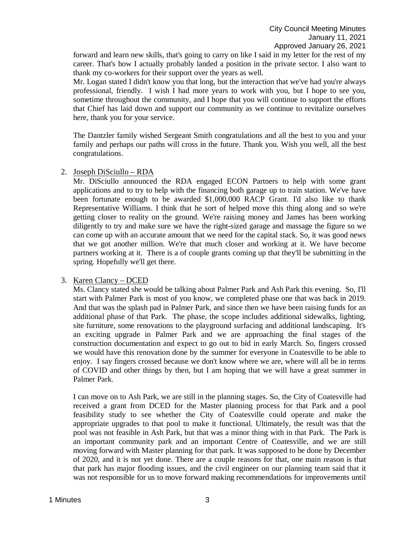forward and learn new skills, that's going to carry on like I said in my letter for the rest of my career. That's how I actually probably landed a position in the private sector. I also want to thank my co-workers for their support over the years as well.

Mr. Logan stated I didn't know you that long, but the interaction that we've had you're always professional, friendly. I wish I had more years to work with you, but I hope to see you, sometime throughout the community, and I hope that you will continue to support the efforts that Chief has laid down and support our community as we continue to revitalize ourselves here, thank you for your service.

The Dantzler family wished Sergeant Smith congratulations and all the best to you and your family and perhaps our paths will cross in the future. Thank you. Wish you well, all the best congratulations.

#### 2. Joseph DiSciullo – RDA

Mr. DiSciullo announced the RDA engaged ECON Partners to help with some grant applications and to try to help with the financing both garage up to train station. We've have been fortunate enough to be awarded \$1,000,000 RACP Grant. I'd also like to thank Representative Williams. I think that he sort of helped move this thing along and so we're getting closer to reality on the ground. We're raising money and James has been working diligently to try and make sure we have the right-sized garage and massage the figure so we can come up with an accurate amount that we need for the capital stack. So, it was good news that we got another million. We're that much closer and working at it. We have become partners working at it. There is a of couple grants coming up that they'll be submitting in the spring. Hopefully we'll get there.

### 3. Karen Clancy – DCED

Ms. Clancy stated she would be talking about Palmer Park and Ash Park this evening. So, I'll start with Palmer Park is most of you know, we completed phase one that was back in 2019. And that was the splash pad in Palmer Park, and since then we have been raising funds for an additional phase of that Park. The phase, the scope includes additional sidewalks, lighting, site furniture, some renovations to the playground surfacing and additional landscaping. It's an exciting upgrade in Palmer Park and we are approaching the final stages of the construction documentation and expect to go out to bid in early March. So, fingers crossed we would have this renovation done by the summer for everyone in Coatesville to be able to enjoy. I say fingers crossed because we don't know where we are, where will all be in terms of COVID and other things by then, but I am hoping that we will have a great summer in Palmer Park.

I can move on to Ash Park, we are still in the planning stages. So, the City of Coatesville had received a grant from DCED for the Master planning process for that Park and a pool feasibility study to see whether the City of Coatesville could operate and make the appropriate upgrades to that pool to make it functional. Ultimately, the result was that the pool was not feasible in Ash Park, but that was a minor thing with in that Park. The Park is an important community park and an important Centre of Coatesville, and we are still moving forward with Master planning for that park. It was supposed to be done by December of 2020, and it is not yet done. There are a couple reasons for that, one main reason is that that park has major flooding issues, and the civil engineer on our planning team said that it was not responsible for us to move forward making recommendations for improvements until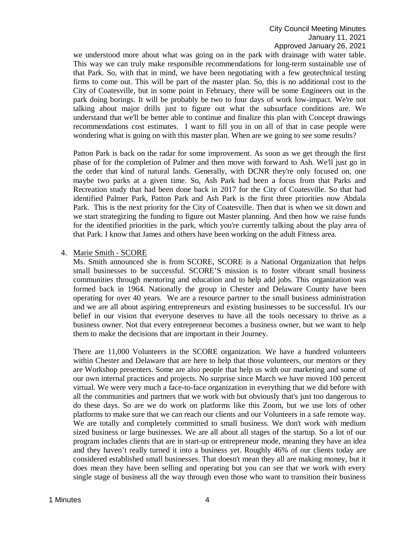we understood more about what was going on in the park with drainage with water table. This way we can truly make responsible recommendations for long-term sustainable use of that Park. So, with that in mind, we have been negotiating with a few geotechnical testing firms to come out. This will be part of the master plan. So, this is no additional cost to the City of Coatesville, but in some point in February, there will be some Engineers out in the park doing borings. It will be probably be two to four days of work low-impact. We're not talking about major drills just to figure out what the subsurface conditions are. We understand that we'll be better able to continue and finalize this plan with Concept drawings recommendations cost estimates. I want to fill you in on all of that in case people were wondering what is going on with this master plan. When are we going to see some results?

Patton Park is back on the radar for some improvement. As soon as we get through the first phase of for the completion of Palmer and then move with forward to Ash. We'll just go in the order that kind of natural lands. Generally, with DCNR they're only focused on, one maybe two parks at a given time. So, Ash Park had been a focus from that Parks and Recreation study that had been done back in 2017 for the City of Coatesville. So that had identified Palmer Park, Patton Park and Ash Park is the first three priorities now Abdala Park. This is the next priority for the City of Coatesville. Then that is when we sit down and we start strategizing the funding to figure out Master planning. And then how we raise funds for the identified priorities in the park, which you're currently talking about the play area of that Park. I know that James and others have been working on the adult Fitness area.

#### 4. Marie Smith - SCORE

Ms. Smith announced she is from SCORE, SCORE is a National Organization that helps small businesses to be successful. SCORE'S mission is to foster vibrant small business communities through mentoring and education and to help add jobs. This organization was formed back in 1964. Nationally the group in Chester and Delaware County have been operating for over 40 years. We are a resource partner to the small business administration and we are all about aspiring entrepreneurs and existing businesses to be successful. It's our belief in our vision that everyone deserves to have all the tools necessary to thrive as a business owner. Not that every entrepreneur becomes a business owner, but we want to help them to make the decisions that are important in their Journey.

There are 11,000 Volunteers in the SCORE organization. We have a hundred volunteers within Chester and Delaware that are here to help that those volunteers, our mentors or they are Workshop presenters. Some are also people that help us with our marketing and some of our own internal practices and projects. No surprise since March we have moved 100 percent virtual. We were very much a face-to-face organization in everything that we did before with all the communities and partners that we work with but obviously that's just too dangerous to do these days. So are we do work on platforms like this Zoom, but we use lots of other platforms to make sure that we can reach our clients and our Volunteers in a safe remote way. We are totally and completely committed to small business. We don't work with medium sized business or large businesses. We are all about all stages of the startup. So a lot of our program includes clients that are in start-up or entrepreneur mode, meaning they have an idea and they haven't really turned it into a business yet. Roughly 46% of our clients today are considered established small businesses. That doesn't mean they all are making money, but it does mean they have been selling and operating but you can see that we work with every single stage of business all the way through even those who want to transition their business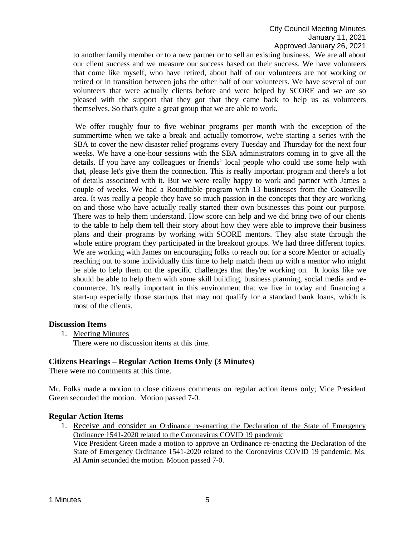to another family member or to a new partner or to sell an existing business. We are all about our client success and we measure our success based on their success. We have volunteers that come like myself, who have retired, about half of our volunteers are not working or retired or in transition between jobs the other half of our volunteers. We have several of our volunteers that were actually clients before and were helped by SCORE and we are so pleased with the support that they got that they came back to help us as volunteers themselves. So that's quite a great group that we are able to work.

We offer roughly four to five webinar programs per month with the exception of the summertime when we take a break and actually tomorrow, we're starting a series with the SBA to cover the new disaster relief programs every Tuesday and Thursday for the next four weeks. We have a one-hour sessions with the SBA administrators coming in to give all the details. If you have any colleagues or friends' local people who could use some help with that, please let's give them the connection. This is really important program and there's a lot of details associated with it. But we were really happy to work and partner with James a couple of weeks. We had a Roundtable program with 13 businesses from the Coatesville area. It was really a people they have so much passion in the concepts that they are working on and those who have actually really started their own businesses this point our purpose. There was to help them understand. How score can help and we did bring two of our clients to the table to help them tell their story about how they were able to improve their business plans and their programs by working with SCORE mentors. They also state through the whole entire program they participated in the breakout groups. We had three different topics. We are working with James on encouraging folks to reach out for a score Mentor or actually reaching out to some individually this time to help match them up with a mentor who might be able to help them on the specific challenges that they're working on. It looks like we should be able to help them with some skill building, business planning, social media and ecommerce. It's really important in this environment that we live in today and financing a start-up especially those startups that may not qualify for a standard bank loans, which is most of the clients.

#### **Discussion Items**

1. Meeting Minutes

There were no discussion items at this time.

### **Citizens Hearings – Regular Action Items Only (3 Minutes)**

There were no comments at this time.

Mr. Folks made a motion to close citizens comments on regular action items only; Vice President Green seconded the motion. Motion passed 7-0.

### **Regular Action Items**

1. Receive and consider an Ordinance re-enacting the Declaration of the State of Emergency Ordinance 1541-2020 related to the Coronavirus COVID 19 pandemic Vice President Green made a motion to approve an Ordinance re-enacting the Declaration of the State of Emergency Ordinance 1541-2020 related to the Coronavirus COVID 19 pandemic; Ms.

Al Amin seconded the motion. Motion passed 7-0.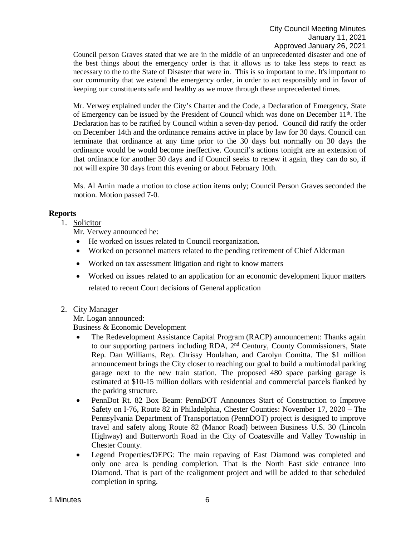Council person Graves stated that we are in the middle of an unprecedented disaster and one of the best things about the emergency order is that it allows us to take less steps to react as necessary to the to the State of Disaster that were in. This is so important to me. It's important to our community that we extend the emergency order, in order to act responsibly and in favor of keeping our constituents safe and healthy as we move through these unprecedented times.

Mr. Verwey explained under the City's Charter and the Code, a Declaration of Emergency, State of Emergency can be issued by the President of Council which was done on December  $11<sup>th</sup>$ . The Declaration has to be ratified by Council within a seven-day period. Council did ratify the order on December 14th and the ordinance remains active in place by law for 30 days. Council can terminate that ordinance at any time prior to the 30 days but normally on 30 days the ordinance would be would become ineffective. Council's actions tonight are an extension of that ordinance for another 30 days and if Council seeks to renew it again, they can do so, if not will expire 30 days from this evening or about February 10th.

Ms. Al Amin made a motion to close action items only; Council Person Graves seconded the motion. Motion passed 7-0.

### **Reports**

1. Solicitor

Mr. Verwey announced he:

- He worked on issues related to Council reorganization.
- Worked on personnel matters related to the pending retirement of Chief Alderman
- Worked on tax assessment litigation and right to know matters
- Worked on issues related to an application for an economic development liquor matters related to recent Court decisions of General application

### 2. City Manager

Mr. Logan announced:

Business & Economic Development

- The Redevelopment Assistance Capital Program (RACP) announcement: Thanks again to our supporting partners including RDA, 2nd Century, County Commissioners, State Rep. Dan Williams, Rep. Chrissy Houlahan, and Carolyn Comitta. The \$1 million announcement brings the City closer to reaching our goal to build a multimodal parking garage next to the new train station. The proposed 480 space parking garage is estimated at \$10-15 million dollars with residential and commercial parcels flanked by the parking structure.
- PennDot Rt. 82 Box Beam: PennDOT Announces Start of Construction to Improve Safety on I-76, Route 82 in Philadelphia, Chester Counties: November 17, 2020 – The Pennsylvania Department of Transportation (PennDOT) project is designed to improve travel and safety along Route 82 (Manor Road) between Business U.S. 30 (Lincoln Highway) and Butterworth Road in the City of Coatesville and Valley Township in Chester County.
- Legend Properties/DEPG: The main repaving of East Diamond was completed and only one area is pending completion. That is the North East side entrance into Diamond. That is part of the realignment project and will be added to that scheduled completion in spring.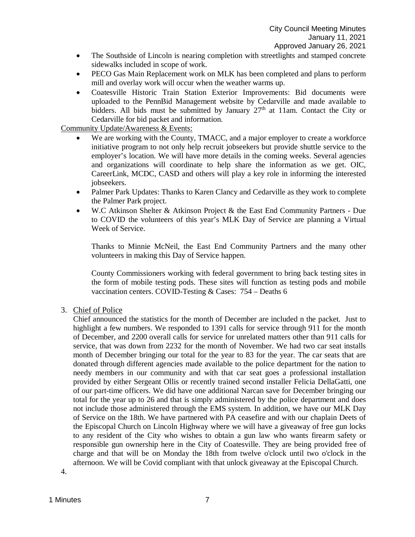- The Southside of Lincoln is nearing completion with streetlights and stamped concrete sidewalks included in scope of work.
- PECO Gas Main Replacement work on MLK has been completed and plans to perform mill and overlay work will occur when the weather warms up.
- Coatesville Historic Train Station Exterior Improvements: Bid documents were uploaded to the PennBid Management website by Cedarville and made available to bidders. All bids must be submitted by January  $27<sup>th</sup>$  at 11am. Contact the City or Cedarville for bid packet and information.

### Community Update/Awareness & Events:

- We are working with the County, TMACC, and a major employer to create a workforce initiative program to not only help recruit jobseekers but provide shuttle service to the employer's location. We will have more details in the coming weeks. Several agencies and organizations will coordinate to help share the information as we get. OIC, CareerLink, MCDC, CASD and others will play a key role in informing the interested jobseekers.
- Palmer Park Updates: Thanks to Karen Clancy and Cedarville as they work to complete the Palmer Park project.
- W.C Atkinson Shelter & Atkinson Project & the East End Community Partners Due to COVID the volunteers of this year's MLK Day of Service are planning a Virtual Week of Service.

Thanks to Minnie McNeil, the East End Community Partners and the many other volunteers in making this Day of Service happen.

County Commissioners working with federal government to bring back testing sites in the form of mobile testing pods. These sites will function as testing pods and mobile vaccination centers. COVID-Testing & Cases: 754 – Deaths 6

3. Chief of Police

Chief announced the statistics for the month of December are included n the packet. Just to highlight a few numbers. We responded to 1391 calls for service through 911 for the month of December, and 2200 overall calls for service for unrelated matters other than 911 calls for service, that was down from 2232 for the month of November. We had two car seat installs month of December bringing our total for the year to 83 for the year. The car seats that are donated through different agencies made available to the police department for the nation to needy members in our community and with that car seat goes a professional installation provided by either Sergeant Ollis or recently trained second installer Felicia DellaGatti, one of our part-time officers. We did have one additional Narcan save for December bringing our total for the year up to 26 and that is simply administered by the police department and does not include those administered through the EMS system. In addition, we have our MLK Day of Service on the 18th. We have partnered with PA ceasefire and with our chaplain Deets of the Episcopal Church on Lincoln Highway where we will have a giveaway of free gun locks to any resident of the City who wishes to obtain a gun law who wants firearm safety or responsible gun ownership here in the City of Coatesville. They are being provided free of charge and that will be on Monday the 18th from twelve o'clock until two o'clock in the afternoon. We will be Covid compliant with that unlock giveaway at the Episcopal Church.

4.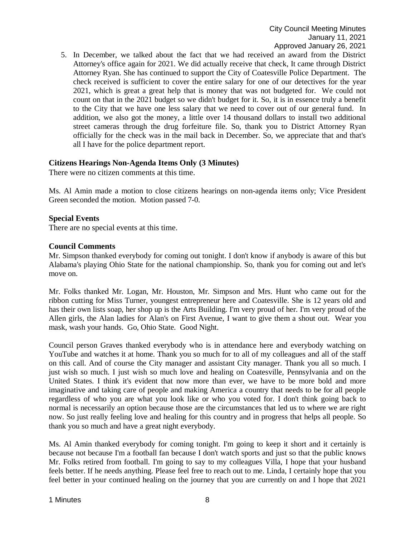5. In December, we talked about the fact that we had received an award from the District Attorney's office again for 2021. We did actually receive that check, It came through District Attorney Ryan. She has continued to support the City of Coatesville Police Department. The check received is sufficient to cover the entire salary for one of our detectives for the year 2021, which is great a great help that is money that was not budgeted for. We could not count on that in the 2021 budget so we didn't budget for it. So, it is in essence truly a benefit to the City that we have one less salary that we need to cover out of our general fund. In addition, we also got the money, a little over 14 thousand dollars to install two additional street cameras through the drug forfeiture file. So, thank you to District Attorney Ryan officially for the check was in the mail back in December. So, we appreciate that and that's all I have for the police department report.

# **Citizens Hearings Non-Agenda Items Only (3 Minutes)**

There were no citizen comments at this time.

Ms. Al Amin made a motion to close citizens hearings on non-agenda items only; Vice President Green seconded the motion. Motion passed 7-0.

# **Special Events**

There are no special events at this time.

### **Council Comments**

Mr. Simpson thanked everybody for coming out tonight. I don't know if anybody is aware of this but Alabama's playing Ohio State for the national championship. So, thank you for coming out and let's move on.

Mr. Folks thanked Mr. Logan, Mr. Houston, Mr. Simpson and Mrs. Hunt who came out for the ribbon cutting for Miss Turner, youngest entrepreneur here and Coatesville. She is 12 years old and has their own lists soap, her shop up is the Arts Building. I'm very proud of her. I'm very proud of the Allen girls, the Alan ladies for Alan's on First Avenue, I want to give them a shout out. Wear you mask, wash your hands. Go, Ohio State. Good Night.

Council person Graves thanked everybody who is in attendance here and everybody watching on YouTube and watches it at home. Thank you so much for to all of my colleagues and all of the staff on this call. And of course the City manager and assistant City manager. Thank you all so much. I just wish so much. I just wish so much love and healing on Coatesville, Pennsylvania and on the United States. I think it's evident that now more than ever, we have to be more bold and more imaginative and taking care of people and making America a country that needs to be for all people regardless of who you are what you look like or who you voted for. I don't think going back to normal is necessarily an option because those are the circumstances that led us to where we are right now. So just really feeling love and healing for this country and in progress that helps all people. So thank you so much and have a great night everybody.

Ms. Al Amin thanked everybody for coming tonight. I'm going to keep it short and it certainly is because not because I'm a football fan because I don't watch sports and just so that the public knows Mr. Folks retired from football. I'm going to say to my colleagues Villa, I hope that your husband feels better. If he needs anything. Please feel free to reach out to me. Linda, I certainly hope that you feel better in your continued healing on the journey that you are currently on and I hope that 2021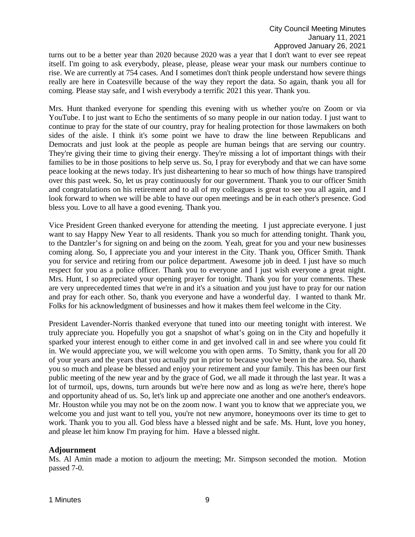turns out to be a better year than 2020 because 2020 was a year that I don't want to ever see repeat itself. I'm going to ask everybody, please, please, please wear your mask our numbers continue to rise. We are currently at 754 cases. And I sometimes don't think people understand how severe things really are here in Coatesville because of the way they report the data. So again, thank you all for coming. Please stay safe, and I wish everybody a terrific 2021 this year. Thank you.

Mrs. Hunt thanked everyone for spending this evening with us whether you're on Zoom or via YouTube. I to just want to Echo the sentiments of so many people in our nation today. I just want to continue to pray for the state of our country, pray for healing protection for those lawmakers on both sides of the aisle. I think it's some point we have to draw the line between Republicans and Democrats and just look at the people as people are human beings that are serving our country. They're giving their time to giving their energy. They're missing a lot of important things with their families to be in those positions to help serve us. So, I pray for everybody and that we can have some peace looking at the news today. It's just disheartening to hear so much of how things have transpired over this past week. So, let us pray continuously for our government. Thank you to our officer Smith and congratulations on his retirement and to all of my colleagues is great to see you all again, and I look forward to when we will be able to have our open meetings and be in each other's presence. God bless you. Love to all have a good evening. Thank you.

Vice President Green thanked everyone for attending the meeting. I just appreciate everyone. I just want to say Happy New Year to all residents. Thank you so much for attending tonight. Thank you, to the Dantzler's for signing on and being on the zoom. Yeah, great for you and your new businesses coming along. So, I appreciate you and your interest in the City. Thank you, Officer Smith. Thank you for service and retiring from our police department. Awesome job in deed. I just have so much respect for you as a police officer. Thank you to everyone and I just wish everyone a great night. Mrs. Hunt, I so appreciated your opening prayer for tonight. Thank you for your comments. These are very unprecedented times that we're in and it's a situation and you just have to pray for our nation and pray for each other. So, thank you everyone and have a wonderful day. I wanted to thank Mr. Folks for his acknowledgment of businesses and how it makes them feel welcome in the City.

President Lavender-Norris thanked everyone that tuned into our meeting tonight with interest. We truly appreciate you. Hopefully you got a snapshot of what's going on in the City and hopefully it sparked your interest enough to either come in and get involved call in and see where you could fit in. We would appreciate you, we will welcome you with open arms. To Smitty, thank you for all 20 of your years and the years that you actually put in prior to because you've been in the area. So, thank you so much and please be blessed and enjoy your retirement and your family. This has been our first public meeting of the new year and by the grace of God, we all made it through the last year. It was a lot of turmoil, ups, downs, turn arounds but we're here now and as long as we're here, there's hope and opportunity ahead of us. So, let's link up and appreciate one another and one another's endeavors. Mr. Houston while you may not be on the zoom now. I want you to know that we appreciate you, we welcome you and just want to tell you, you're not new anymore, honeymoons over its time to get to work. Thank you to you all. God bless have a blessed night and be safe. Ms. Hunt, love you honey, and please let him know I'm praying for him. Have a blessed night.

### **Adjournment**

Ms. Al Amin made a motion to adjourn the meeting; Mr. Simpson seconded the motion. Motion passed 7-0.